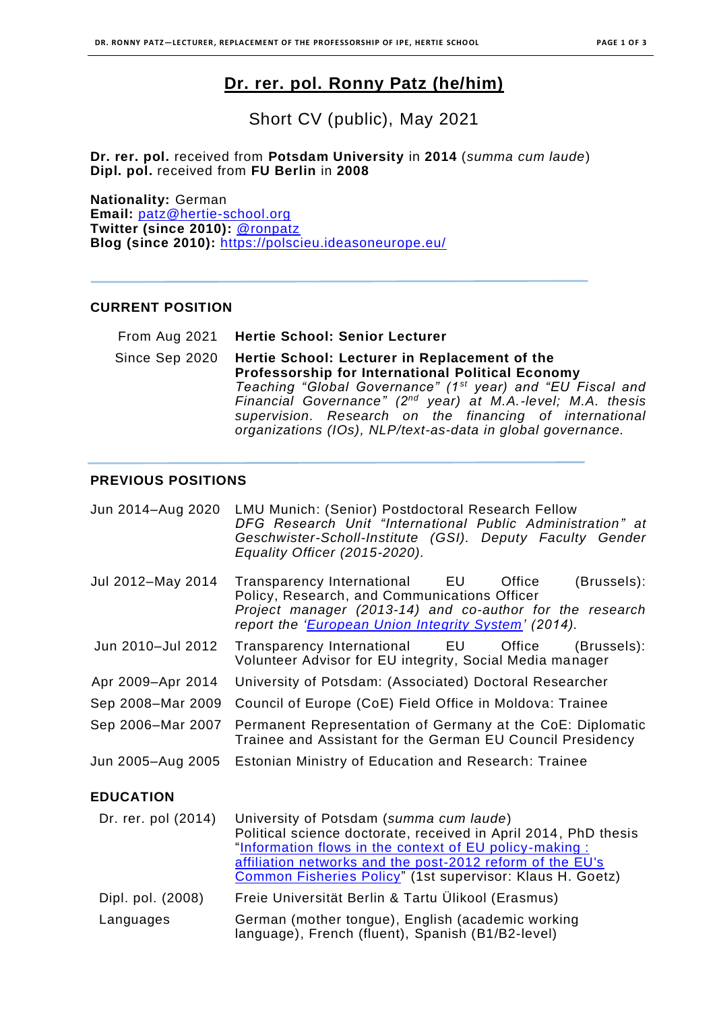# **Dr. rer. pol. Ronny Patz (he/him)**

Short CV (public), May 2021

**Dr. rer. pol.** received from **Potsdam University** in **2014** (*summa cum laude*) **Dipl. pol.** received from **FU Berlin** in **2008**

**Nationality:** German **Email:** [patz@hertie-school.org](mailto:patz@hertie-school.org) **Twitter (since 2010):** [@ronpatz](https://twitter.com/ronpatz) **Blog (since 2010):** <https://polscieu.ideasoneurope.eu/>

#### **CURRENT POSITION**

| From Aug 2021 Hertie School: Senior Lecturer                                                                                                                                                                                                                                                                                                                                                     |
|--------------------------------------------------------------------------------------------------------------------------------------------------------------------------------------------------------------------------------------------------------------------------------------------------------------------------------------------------------------------------------------------------|
| Since Sep 2020 Hertie School: Lecturer in Replacement of the<br>Professorship for International Political Economy<br>Teaching "Global Governance" (1 <sup>st</sup> year) and "EU Fiscal and<br>Financial Governance" (2 <sup>nd</sup> year) at M.A.-level; M.A. thesis<br>supervision. Research on the financing of international<br>organizations (IOs), NLP/text-as-data in global governance. |

### **PREVIOUS POSITIONS**

| <b>LMU Munich: (Senior) Postdoctoral Research Fellow</b><br>DFG Research Unit "International Public Administration" at<br>Geschwister-Scholl-Institute (GSI). Deputy Faculty Gender<br>Equality Officer (2015-2020).                                                                           |
|------------------------------------------------------------------------------------------------------------------------------------------------------------------------------------------------------------------------------------------------------------------------------------------------|
| (Brussels):<br>Transparency International<br>EU<br>Office<br>Policy, Research, and Communications Officer<br>Project manager (2013-14) and co-author for the research<br>report the ' <i>European Union Integrity System'</i> (2014).                                                          |
| Transparency International EU<br>Office<br>(Brussels):<br>Volunteer Advisor for EU integrity, Social Media manager                                                                                                                                                                             |
| University of Potsdam: (Associated) Doctoral Researcher                                                                                                                                                                                                                                        |
| Council of Europe (CoE) Field Office in Moldova: Trainee                                                                                                                                                                                                                                       |
| Permanent Representation of Germany at the CoE: Diplomatic<br>Trainee and Assistant for the German EU Council Presidency                                                                                                                                                                       |
| Estonian Ministry of Education and Research: Trainee                                                                                                                                                                                                                                           |
|                                                                                                                                                                                                                                                                                                |
| University of Potsdam (summa cum laude)<br>Political science doctorate, received in April 2014, PhD thesis<br>"Information flows in the context of EU policy-making:<br>affiliation networks and the post-2012 reform of the EU's<br>Common Fisheries Policy" (1st supervisor: Klaus H. Goetz) |
| Freie Universität Berlin & Tartu Ülikool (Erasmus)                                                                                                                                                                                                                                             |
| German (mother tongue), English (academic working<br>language), French (fluent), Spanish (B1/B2-level)                                                                                                                                                                                         |
|                                                                                                                                                                                                                                                                                                |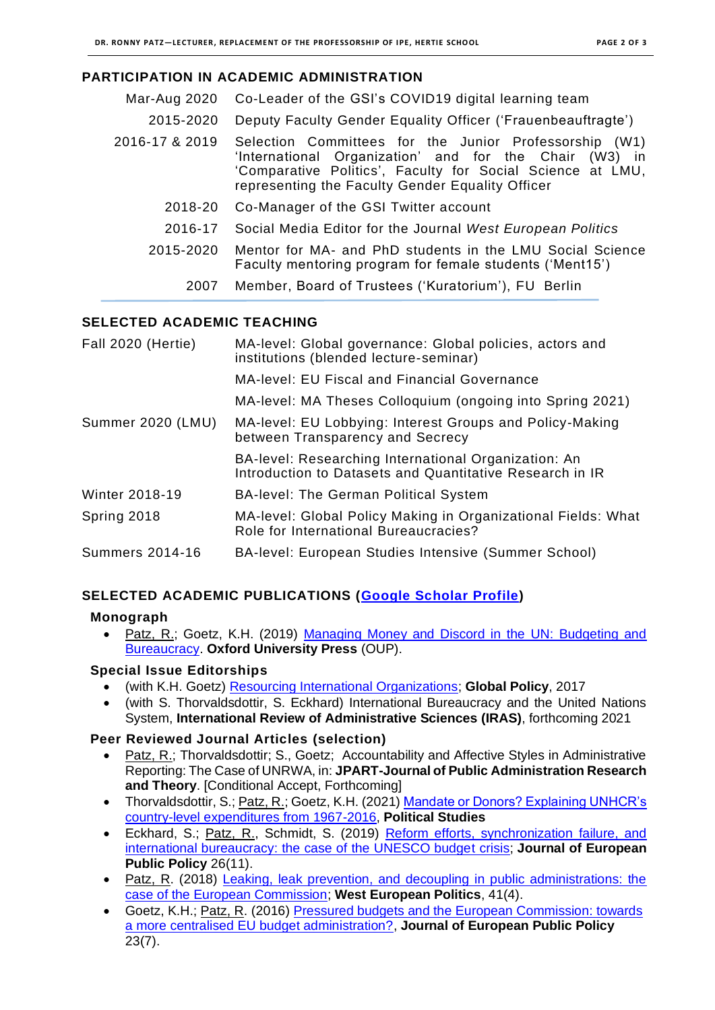## **PARTICIPATION IN ACADEMIC ADMINISTRATION**

| Mar-Aug 2020   | Co-Leader of the GSI's COVID19 digital learning team                                                                                                                                                                                    |
|----------------|-----------------------------------------------------------------------------------------------------------------------------------------------------------------------------------------------------------------------------------------|
| 2015-2020      | Deputy Faculty Gender Equality Officer ('Frauenbeauftragte')                                                                                                                                                                            |
| 2016-17 & 2019 | Selection Committees for the Junior Professorship (W1)<br>'International Organization' and for the Chair<br>$(W3)$ in<br>'Comparative Politics', Faculty for Social Science at LMU,<br>representing the Faculty Gender Equality Officer |
| 2018-20        | Co-Manager of the GSI Twitter account                                                                                                                                                                                                   |
| 2016-17        | Social Media Editor for the Journal West European Politics                                                                                                                                                                              |
| 2015-2020      | Mentor for MA- and PhD students in the LMU Social Science<br>Faculty mentoring program for female students ('Ment15')                                                                                                                   |
| 2007           | Member, Board of Trustees ('Kuratorium'), FU Berlin                                                                                                                                                                                     |
|                |                                                                                                                                                                                                                                         |

## **SELECTED ACADEMIC TEACHING**

| Fall 2020 (Hertie)     | MA-level: Global governance: Global policies, actors and<br>institutions (blended lecture-seminar)               |
|------------------------|------------------------------------------------------------------------------------------------------------------|
|                        | <b>MA-level: EU Fiscal and Financial Governance</b>                                                              |
|                        | MA-level: MA Theses Colloquium (ongoing into Spring 2021)                                                        |
| Summer 2020 (LMU)      | MA-level: EU Lobbying: Interest Groups and Policy-Making<br>between Transparency and Secrecy                     |
|                        | BA-level: Researching International Organization: An<br>Introduction to Datasets and Quantitative Research in IR |
| <b>Winter 2018-19</b>  | <b>BA-level: The German Political System</b>                                                                     |
| Spring 2018            | MA-level: Global Policy Making in Organizational Fields: What<br>Role for International Bureaucracies?           |
| <b>Summers 2014-16</b> | BA-level: European Studies Intensive (Summer School)                                                             |

## **SELECTED ACADEMIC PUBLICATIONS [\(Google Scholar Profile\)](https://scholar.google.com/citations?user=9zvrReoAAAAJ&hl=en)**

#### **Monograph**

Patz, R.; Goetz, K.H. (2019) Managing Money and Discord in the UN: Budgeting and [Bureaucracy.](https://global.oup.com/academic/product/managing-money-and-discord-in-the-un-9780198838333) **Oxford University Press** (OUP).

## **Special Issue Editorships**

- (with K.H. Goetz) [Resourcing International Organizations;](https://onlinelibrary.wiley.com/toc/17585899/8/S5) **Global Policy**, 2017
- (with S. Thorvaldsdottir, S. Eckhard) International Bureaucracy and the United Nations System, **International Review of Administrative Sciences (IRAS)**, forthcoming 2021

## **Peer Reviewed Journal Articles (selection)**

- Patz, R.; Thorvaldsdottir; S., Goetz; Accountability and Affective Styles in Administrative Reporting: The Case of UNRWA, in: **JPART-Journal of Public Administration Research and Theory**. [Conditional Accept, Forthcoming]
- Thorvaldsdottir, S.; Patz, R.; Goetz, K.H. (2021) Mandate or Donors? Explaining UNHCR's [country-level expenditures from 1967-2016,](https://journals.sagepub.com/doi/abs/10.1177/0032321720974330) **Political Studies**
- Eckhard, S.; Patz, R., Schmidt, S. (2019) [Reform efforts, synchronization failure, and](https://www.tandfonline.com/doi/abs/10.1080/13501763.2018.1539116?journalCode=rjpp20)  [international bureaucracy: the case of the UNESCO budget crisis;](https://www.tandfonline.com/doi/abs/10.1080/13501763.2018.1539116?journalCode=rjpp20) **Journal of European Public Policy** 26(11).
- Patz, R. (2018) [Leaking, leak prevention, and decoupling in public administrations: the](https://www.tandfonline.com/doi/full/10.1080/01402382.2017.1394103)  [case of the European Commission;](https://www.tandfonline.com/doi/full/10.1080/01402382.2017.1394103) **West European Politics**, 41(4).
- Goetz, K.H.; Patz, R. (2016) [Pressured budgets and the European Commission: towards](https://www.tandfonline.com/doi/abs/10.1080/13501763.2016.1162835?journalCode=rjpp20)  [a more centralised EU budget administration?,](https://www.tandfonline.com/doi/abs/10.1080/13501763.2016.1162835?journalCode=rjpp20) **Journal of European Public Policy** 23(7).